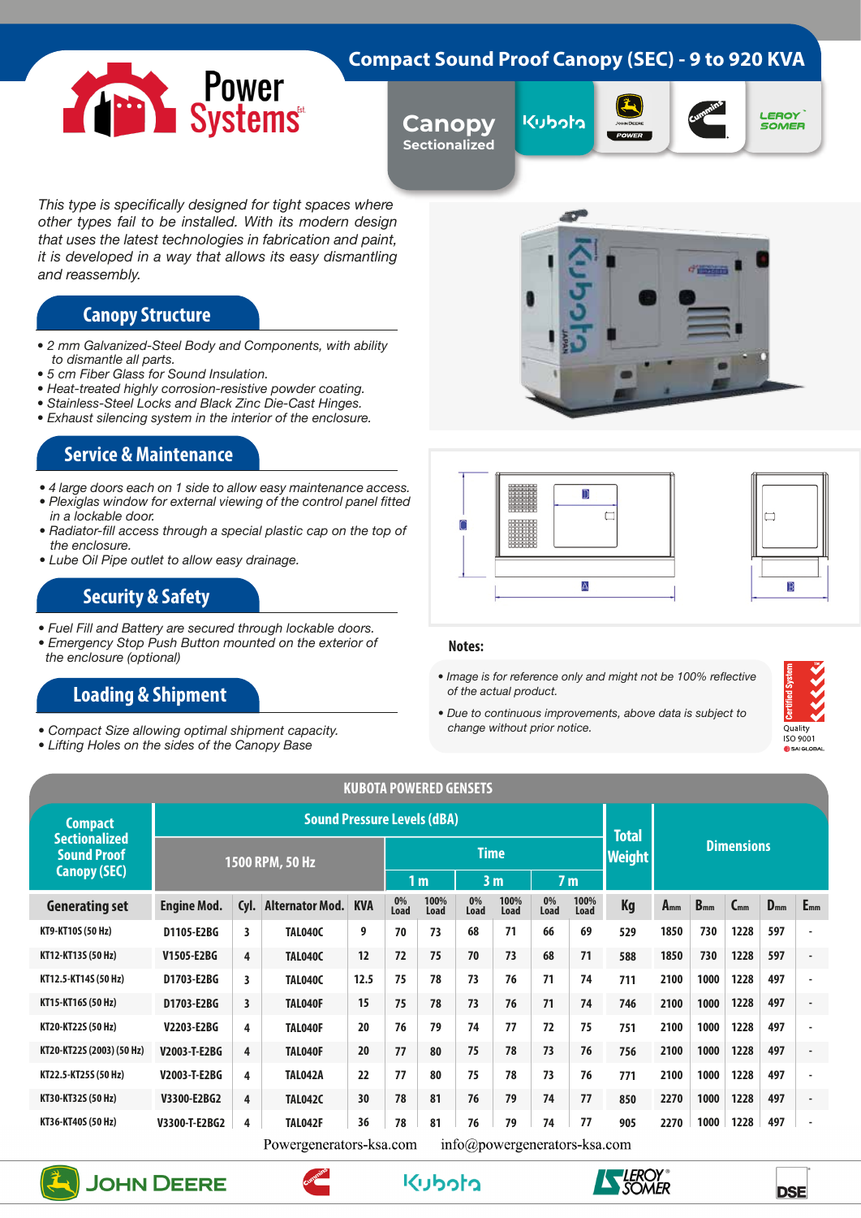## **Compact Sound Proof Canopy (SEC) - 9 to 920 KVA**



**Canopy Sectionalized**









*This type is specifically designed for tight spaces where other types fail to be installed. With its modern design that uses the latest technologies in fabrication and paint, it is developed in a way that allows its easy dismantling and reassembly.*

# **Canopy Structure**

- *2 mm Galvanized-Steel Body and Components, with ability to dismantle all parts.*
- *5 cm Fiber Glass for Sound Insulation.*
- *Heat-treated highly corrosion-resistive powder coating.*
- *Stainless-Steel Locks and Black Zinc Die-Cast Hinges.*
- *Exhaust silencing system in the interior of the enclosure.*

#### **Service & Maintenance**

- *4 large doors each on 1 side to allow easy maintenance access. • Plexiglas window for external viewing of the control panel fitted*
- *in a lockable door.*
- *Radiator-fill access through a special plastic cap on the top of the enclosure.*
- *Lube Oil Pipe outlet to allow easy drainage.*

### **Security & Safety**

- *Fuel Fill and Battery are secured through lockable doors.*
- *Emergency Stop Push Button mounted on the exterior of the enclosure (optional)*

# **Loading & Shipment**

- *Compact Size allowing optimal shipment capacity.*
- *Lifting Holes on the sides of the Canopy Base*





#### **Notes:**

*• Image is for reference only and might not be 100% reflective of the actual product.*

Α

*• Due to continuous improvements, above data is subject to change without prior notice.*



|                                            |                    |                                  |                                    |            |            | <b>KUBOTA POWERED GENSETS</b> |                |                                         |            |               |                   |          |          |          |          |                |
|--------------------------------------------|--------------------|----------------------------------|------------------------------------|------------|------------|-------------------------------|----------------|-----------------------------------------|------------|---------------|-------------------|----------|----------|----------|----------|----------------|
| <b>Compact</b>                             |                    |                                  | <b>Sound Pressure Levels (dBA)</b> |            |            |                               |                |                                         |            |               | <b>Total</b>      |          |          |          |          |                |
| <b>Sectionalized</b><br><b>Sound Proof</b> |                    | 1500 RPM, 50 Hz                  |                                    |            |            |                               | <b>Time</b>    |                                         |            | <b>Weight</b> | <b>Dimensions</b> |          |          |          |          |                |
| <b>Canopy (SEC)</b>                        |                    | 1 <sub>m</sub><br>3 <sub>m</sub> |                                    |            |            |                               | 7 <sub>m</sub> |                                         |            |               |                   |          |          |          |          |                |
| <b>Generating set</b>                      | <b>Engine Mod.</b> | Cyl.                             | <b>Alternator Mod.</b>             | <b>KVA</b> | 0%<br>Load | 100%<br>Load                  | 0%<br>Load     | 100%<br>Load                            | 0%<br>Load | 100%<br>Load  | Kg                | $A_{mm}$ | $B_{mm}$ | $C_{mm}$ | $D_{mm}$ | $E_{mm}$       |
| KT9-KT10S (50 Hz)                          | D1105-E2BG         | 3                                | TAL040C                            | 9          | 70         | 73                            | 68             | 71                                      | 66         | 69            | 529               | 1850     | 730      | 1228     | 597      |                |
| KT12-KT13S (50 Hz)                         | V1505-E2BG         | 4                                | TAL040C                            | 12         | 72         | 75                            | 70             | 73                                      | 68         | 71            | 588               | 1850     | 730      | 1228     | 597      |                |
| KT12.5-KT14S (50 Hz)                       | D1703-E2BG         | 3                                | TAL040C                            | 12.5       | 75         | 78                            | 73             | 76                                      | 71         | 74            | 711               | 2100     | 1000     | 1228     | 497      |                |
| KT15-KT16S (50 Hz)                         | D1703-E2BG         | 3                                | TAL040F                            | 15         | 75         | 78                            | 73             | 76                                      | 71         | 74            | 746               | 2100     | 1000     | 1228     | 497      | $\blacksquare$ |
| KT20-KT22S (50 Hz)                         | V2203-E2BG         | 4                                | TAL040F                            | 20         | 76         | 79                            | 74             | 77                                      | 72         | 75            | 751               | 2100     | 1000     | 1228     | 497      |                |
| KT20-KT22S (2003) (50 Hz)                  | V2003-T-E2BG       | 4                                | TAL040F                            | 20         | 77         | 80                            | 75             | 78                                      | 73         | 76            | 756               | 2100     | 1000     | 1228     | 497      | $\blacksquare$ |
| KT22.5-KT25S (50 Hz)                       | V2003-T-E2BG       | 4                                | TAL042A                            | 22         | 77         | 80                            | 75             | 78                                      | 73         | 76            | 771               | 2100     | 1000     | 1228     | 497      |                |
| KT30-KT32S (50 Hz)                         | V3300-E2BG2        | 4                                | <b>TAL042C</b>                     | 30         | 78         | 81                            | 76             | 79                                      | 74         | 77            | 850               | 2270     | 1000     | 1228     | 497      | $\blacksquare$ |
| KT36-KT40S (50 Hz)                         | V3300-T-E2BG2      | 4                                | <b>TAL042F</b>                     | 36         | 78         | 81                            | 76             | 79                                      | 74         | 77            | 905               | 2270     | 1000     | 1228     | 497      | $\sim$         |
|                                            |                    |                                  | Dowaronoratora kao sam             |            |            |                               |                | $inf_{\alpha}$ anguaraanaratara kan aam |            |               |                   |          |          |          |          |                |

Powergenerators-ksa.com  $into(a) power generator$ s-ksa.com





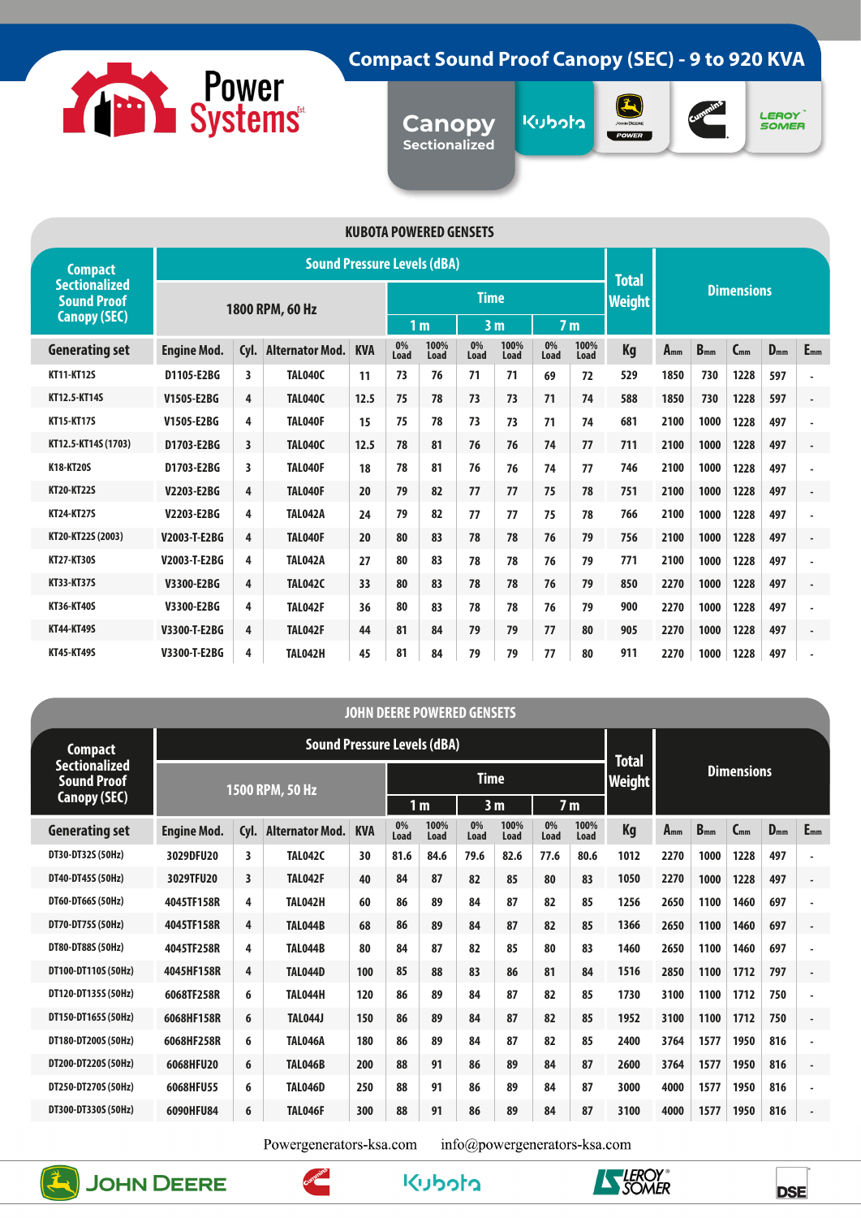

# **Compact Sound Proof Canopy (SEC) - 9 to 920 KVA**

**Canopy Sectionalized**







| <b>KUBOTA POWERED GENSETS</b>              |                    |                         |                                    |            |            |                |             |                |            |                |                   |          |          |          |          |                          |  |
|--------------------------------------------|--------------------|-------------------------|------------------------------------|------------|------------|----------------|-------------|----------------|------------|----------------|-------------------|----------|----------|----------|----------|--------------------------|--|
| <b>Compact</b>                             |                    |                         | <b>Sound Pressure Levels (dBA)</b> |            |            |                |             |                |            |                | <b>Total</b>      |          |          |          |          |                          |  |
| <b>Sectionalized</b><br><b>Sound Proof</b> |                    |                         | 1800 RPM, 60 Hz                    |            |            |                | <b>Time</b> |                |            | <b>Weight</b>  | <b>Dimensions</b> |          |          |          |          |                          |  |
| <b>Canopy (SEC)</b>                        |                    |                         |                                    |            |            | 1 <sub>m</sub> |             | 3 <sub>m</sub> |            | 7 <sub>m</sub> |                   |          |          |          |          |                          |  |
| <b>Generating set</b>                      | <b>Engine Mod.</b> | Cyl.                    | <b>Alternator Mod.</b>             | <b>KVA</b> | 0%<br>Load | 100%<br>Load   | 0%<br>Load  | 100%<br>Load   | 0%<br>Load | 100%<br>Load   | Kg                | $A_{mm}$ | $B_{mm}$ | $C_{mm}$ | $D_{mm}$ | $E_{mm}$                 |  |
| <b>KT11-KT12S</b>                          | D1105-E2BG         | 3                       | <b>TAL040C</b>                     | 11         | 73         | 76             | 71          | 71             | 69         | 72             | 529               | 1850     | 730      | 1228     | 597      | ٠                        |  |
| KT12.5-KT14S                               | V1505-E2BG         | 4                       | <b>TAL040C</b>                     | 12.5       | 75         | 78             | 73          | 73             | 71         | 74             | 588               | 1850     | 730      | 1228     | 597      | $\overline{\phantom{a}}$ |  |
| <b>KT15-KT17S</b>                          | V1505-E2BG         | 4                       | <b>TAL040F</b>                     | 15         | 75         | 78             | 73          | 73             | 71         | 74             | 681               | 2100     | 1000     | 1228     | 497      | $\overline{\phantom{a}}$ |  |
| KT12.5-KT14S (1703)                        | D1703-E2BG         | $\overline{\mathbf{3}}$ | <b>TAL040C</b>                     | 12.5       | 78         | 81             | 76          | 76             | 74         | 77             | 711               | 2100     | 1000     | 1228     | 497      | $\blacksquare$           |  |
| K18-KT20S                                  | D1703-E2BG         | 3                       | <b>TAL040F</b>                     | 18         | 78         | 81             | 76          | 76             | 74         | 77             | 746               | 2100     | 1000     | 1228     | 497      | ٠                        |  |
| <b>KT20-KT22S</b>                          | V2203-E2BG         | 4                       | <b>TAL040F</b>                     | 20         | 79         | 82             | 77          | 77             | 75         | 78             | 751               | 2100     | 1000     | 1228     | 497      | $\blacksquare$           |  |
| <b>KT24-KT27S</b>                          | V2203-E2BG         | 4                       | <b>TAL042A</b>                     | 24         | 79         | 82             | 77          | 77             | 75         | 78             | 766               | 2100     | 1000     | 1228     | 497      | $\overline{\phantom{a}}$ |  |
| KT20-KT22S (2003)                          | V2003-T-E2BG       | 4                       | <b>TAL040F</b>                     | 20         | 80         | 83             | 78          | 78             | 76         | 79             | 756               | 2100     | 1000     | 1228     | 497      | $\blacksquare$           |  |
| <b>KT27-KT30S</b>                          | V2003-T-E2BG       | 4                       | <b>TAL042A</b>                     | 27         | 80         | 83             | 78          | 78             | 76         | 79             | 771               | 2100     | 1000     | 1228     | 497      | ×,                       |  |
| <b>KT33-KT37S</b>                          | V3300-E2BG         | 4                       | <b>TAL042C</b>                     | 33         | 80         | 83             | 78          | 78             | 76         | 79             | 850               | 2270     | 1000     | 1228     | 497      | $\overline{\phantom{a}}$ |  |
| <b>KT36-KT40S</b>                          | V3300-E2BG         | 4                       | <b>TAL042F</b>                     | 36         | 80         | 83             | 78          | 78             | 76         | 79             | 900               | 2270     | 1000     | 1228     | 497      | ٠                        |  |
| <b>KT44-KT49S</b>                          | V3300-T-E2BG       | 4                       | <b>TAL042F</b>                     | 44         | 81         | 84             | 79          | 79             | 77         | 80             | 905               | 2270     | 1000     | 1228     | 497      | $\blacksquare$           |  |
| <b>KT45-KT49S</b>                          | V3300-T-E2BG       | 4                       | <b>TAL042H</b>                     | 45         | 81         | 84             | 79          | 79             | 77         | 80             | 911               | 2270     | 1000     | 1228     | 497      | ٠                        |  |

|                                            |                    |                         |                                    |              |            |                | <b>JOHN DEERE POWERED GENSETS</b> |              |                |              |               |          |                   |          |          |                          |  |
|--------------------------------------------|--------------------|-------------------------|------------------------------------|--------------|------------|----------------|-----------------------------------|--------------|----------------|--------------|---------------|----------|-------------------|----------|----------|--------------------------|--|
| <b>Compact</b>                             |                    |                         | <b>Sound Pressure Levels (dBA)</b> | <b>Total</b> |            |                |                                   |              |                |              |               |          |                   |          |          |                          |  |
| <b>Sectionalized</b><br><b>Sound Proof</b> |                    |                         | 1500 RPM, 50 Hz                    |              |            |                | <b>Time</b>                       |              |                |              | <b>Weight</b> |          | <b>Dimensions</b> |          |          |                          |  |
| Canopy (SEC)                               |                    |                         |                                    |              |            | 1 <sub>m</sub> | 3 <sub>m</sub>                    |              | 7 <sub>m</sub> |              |               |          |                   |          |          |                          |  |
| <b>Generating set</b>                      | <b>Engine Mod.</b> | Cyl.                    | <b>Alternator Mod.</b>             | <b>KVA</b>   | 0%<br>Load | 100%<br>Load   | 0%<br>Load                        | 100%<br>Load | 0%<br>Load     | 100%<br>Load | <b>Kg</b>     | $A_{mm}$ | $B_{mm}$          | $C_{mm}$ | $D_{mm}$ | $E_{mm}$                 |  |
| DT30-DT32S (50Hz)                          | 3029DFU20          | 3                       | <b>TAL042C</b>                     | 30           | 81.6       | 84.6           | 79.6                              | 82.6         | 77.6           | 80.6         | 1012          | 2270     | 1000              | 1228     | 497      | ٠                        |  |
| DT40-DT45S (50Hz)                          | 3029TFU20          | $\overline{\mathbf{3}}$ | <b>TAL042F</b>                     | 40           | 84         | 87             | 82                                | 85           | 80             | 83           | 1050          | 2270     | 1000              | 1228     | 497      | $\blacksquare$           |  |
| DT60-DT66S (50Hz)                          | 4045TF158R         | 4                       | <b>TAL042H</b>                     | 60           | 86         | 89             | 84                                | 87           | 82             | 85           | 1256          | 2650     | 1100              | 1460     | 697      | ٠                        |  |
| DT70-DT75S (50Hz)                          | 4045TF158R         | 4                       | TAL044B                            | 68           | 86         | 89             | 84                                | 87           | 82             | 85           | 1366          | 2650     | 1100              | 1460     | 697      | $\overline{\phantom{a}}$ |  |
| DT80-DT88S (50Hz)                          | 4045TF258R         | 4                       | <b>TAL044B</b>                     | 80           | 84         | 87             | 82                                | 85           | 80             | 83           | 1460          | 2650     | 1100              | 1460     | 697      | ٠                        |  |
| DT100-DT110S (50Hz)                        | 4045HF158R         | 4                       | <b>TAL044D</b>                     | 100          | 85         | 88             | 83                                | 86           | 81             | 84           | 1516          | 2850     | 1100              | 1712     | 797      | $\blacksquare$           |  |
| DT120-DT135S (50Hz)                        | 6068TF258R         | 6                       | <b>TAL044H</b>                     | 120          | 86         | 89             | 84                                | 87           | 82             | 85           | 1730          | 3100     | 1100              | 1712     | 750      | ٠                        |  |
| DT150-DT165S (50Hz)                        | 6068HF158R         | 6                       | <b>TAL044J</b>                     | 150          | 86         | 89             | 84                                | 87           | 82             | 85           | 1952          | 3100     | 1100              | 1712     | 750      | $\blacksquare$           |  |
| DT180-DT200S (50Hz)                        | 6068HF258R         | 6                       | <b>TAL046A</b>                     | 180          | 86         | 89             | 84                                | 87           | 82             | 85           | 2400          | 3764     | 1577              | 1950     | 816      | $\overline{\phantom{a}}$ |  |
| DT200-DT220S (50Hz)                        | 6068HFU20          | 6                       | <b>TAL046B</b>                     | 200          | 88         | 91             | 86                                | 89           | 84             | 87           | 2600          | 3764     | 1577              | 1950     | 816      | $\blacksquare$           |  |
| DT250-DT270S (50Hz)                        | 6068HFU55          | 6                       | <b>TAL046D</b>                     | 250          | 88         | 91             | 86                                | 89           | 84             | 87           | 3000          | 4000     | 1577              | 1950     | 816      | ä,                       |  |
| DT300-DT330S (50Hz)                        | 6090HFU84          | 6                       | <b>TAL046F</b>                     | 300          | 88         | 91             | 86                                | 89           | 84             | 87           | 3100          | 4000     | 1577              | 1950     | 816      | ٠                        |  |
|                                            |                    |                         |                                    |              |            |                |                                   |              |                |              |               |          |                   |          |          |                          |  |

Powergenerators-ksa.com

info@powergenerators-ksa.com







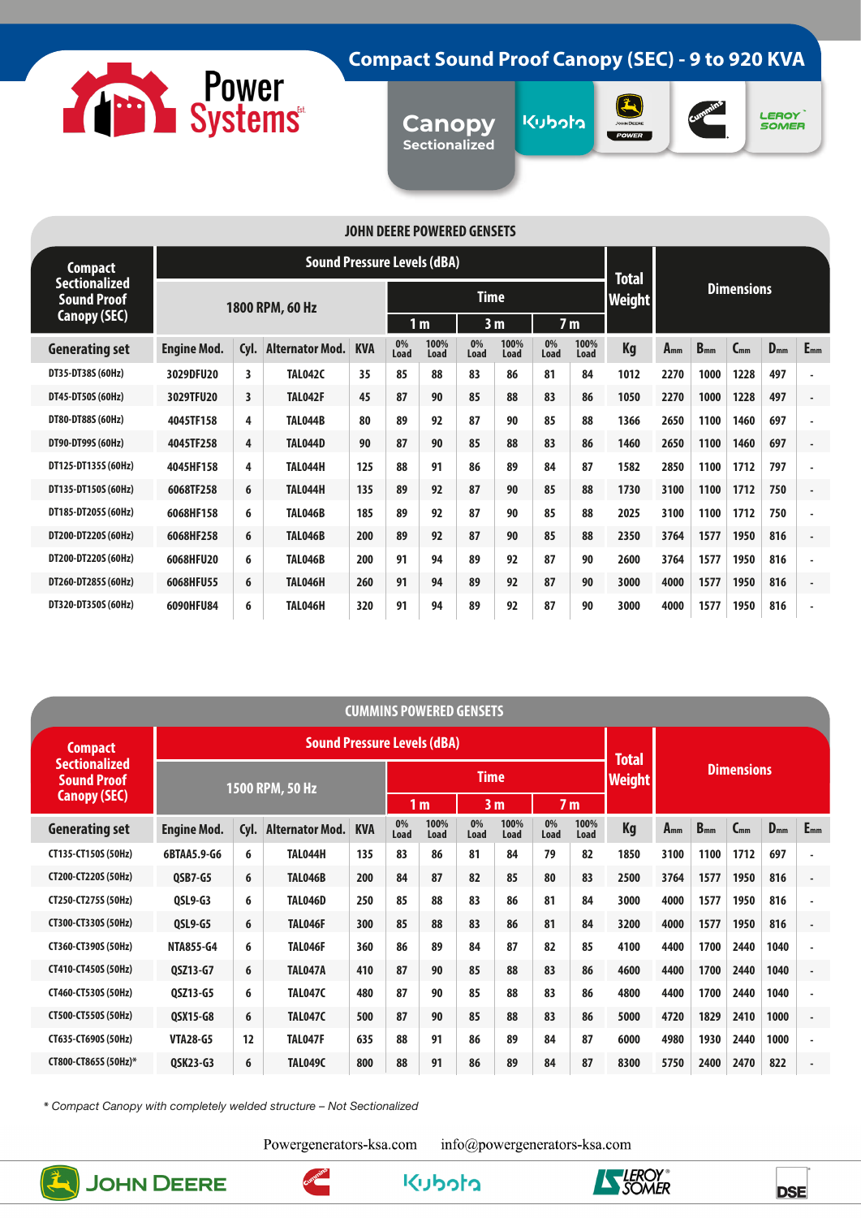

# **Compact Sound Proof Canopy (SEC) - 9 to 920 KVA**

**Canopy Sectionalized**







#### **JOHN DEERE POWERED GENSETS**

| Compact                             |                    |                         | <b>Sound Pressure Levels (dBA)</b> | <b>Total</b> |            |                |                                  |              |            |              |                   |          |          |          |          |                          |
|-------------------------------------|--------------------|-------------------------|------------------------------------|--------------|------------|----------------|----------------------------------|--------------|------------|--------------|-------------------|----------|----------|----------|----------|--------------------------|
| Sectionalized<br><b>Sound Proof</b> |                    |                         | 1800 RPM, 60 Hz                    |              |            |                | <b>Time</b>                      |              |            | Weight       | <b>Dimensions</b> |          |          |          |          |                          |
| <b>Canopy (SEC)</b>                 |                    |                         |                                    |              |            | 1 <sub>m</sub> | 3 <sub>m</sub><br>7 <sub>m</sub> |              |            |              |                   |          |          |          |          |                          |
| <b>Generating set</b>               | <b>Engine Mod.</b> | Cyl.                    | <b>Alternator Mod.</b>             | <b>KVA</b>   | 0%<br>Load | 100%<br>Load   | 0%<br>Load                       | 100%<br>Load | 0%<br>Load | 100%<br>Load | <b>Kg</b>         | $A_{mm}$ | $B_{mm}$ | $C_{mm}$ | $D_{mm}$ | $E_{mm}$                 |
| DT35-DT38S (60Hz)                   | 3029DFU20          | 3                       | <b>TAL042C</b>                     | 35           | 85         | 88             | 83                               | 86           | 81         | 84           | 1012              | 2270     | 1000     | 1228     | 497      | $\overline{\phantom{a}}$ |
| DT45-DT50S (60Hz)                   | 3029TFU20          | $\overline{\mathbf{3}}$ | TAL042F                            | 45           | 87         | 90             | 85                               | 88           | 83         | 86           | 1050              | 2270     | 1000     | 1228     | 497      | $\blacksquare$           |
| DT80-DT88S (60Hz)                   | 4045TF158          | 4                       | <b>TAL044B</b>                     | 80           | 89         | 92             | 87                               | 90           | 85         | 88           | 1366              | 2650     | 1100     | 1460     | 697      | ä,                       |
| DT90-DT99S (60Hz)                   | 4045TF258          | 4                       | <b>TAL044D</b>                     | 90           | 87         | 90             | 85                               | 88           | 83         | 86           | 1460              | 2650     | 1100     | 1460     | 697      | $\blacksquare$           |
| DT125-DT135S (60Hz)                 | 4045HF158          | 4                       | TAL044H                            | 125          | 88         | 91             | 86                               | 89           | 84         | 87           | 1582              | 2850     | 1100     | 1712     | 797      | ٠                        |
| DT135-DT150S (60Hz)                 | 6068TF258          | 6                       | TAL044H                            | 135          | 89         | 92             | 87                               | 90           | 85         | 88           | 1730              | 3100     | 1100     | 1712     | 750      | $\blacksquare$           |
| DT185-DT205S (60Hz)                 | 6068HF158          | 6                       | <b>TAL046B</b>                     | 185          | 89         | 92             | 87                               | 90           | 85         | 88           | 2025              | 3100     | 1100     | 1712     | 750      | ä,                       |
| DT200-DT220S (60Hz)                 | 6068HF258          | 6                       | <b>TAL046B</b>                     | 200          | 89         | 92             | 87                               | 90           | 85         | 88           | 2350              | 3764     | 1577     | 1950     | 816      | ٠                        |
| DT200-DT220S (60Hz)                 | 6068HFU20          | 6                       | <b>TAL046B</b>                     | 200          | 91         | 94             | 89                               | 92           | 87         | 90           | 2600              | 3764     | 1577     | 1950     | 816      | ٠                        |
| DT260-DT285S (60Hz)                 | 6068HFU55          | 6                       | TAL046H                            | 260          | 91         | 94             | 89                               | 92           | 87         | 90           | 3000              | 4000     | 1577     | 1950     | 816      | $\overline{\phantom{a}}$ |
| DT320-DT350S (60Hz)                 | 6090HFU84          | 6                       | TAL046H                            | 320          | 91         | 94             | 89                               | 92           | 87         | 90           | 3000              | 4000     | 1577     | 1950     | 816      | ٠                        |

|                                            |                    |                 |                                    |            |            | CUMMINS POWERED GENSETS |            |                |            |                               |                   |          |          |          |          |                          |
|--------------------------------------------|--------------------|-----------------|------------------------------------|------------|------------|-------------------------|------------|----------------|------------|-------------------------------|-------------------|----------|----------|----------|----------|--------------------------|
| <b>Compact</b>                             |                    |                 | <b>Sound Pressure Levels (dBA)</b> |            |            |                         |            |                |            |                               |                   |          |          |          |          |                          |
| <b>Sectionalized</b><br><b>Sound Proof</b> |                    | 1500 RPM, 50 Hz |                                    |            |            |                         |            | <b>Time</b>    |            | <b>Total</b><br><b>Weight</b> | <b>Dimensions</b> |          |          |          |          |                          |
| <b>Canopy (SEC)</b>                        |                    |                 |                                    |            |            | 1 <sub>m</sub>          |            | 3 <sub>m</sub> |            | 7 <sub>m</sub>                |                   |          |          |          |          |                          |
| <b>Generating set</b>                      | <b>Engine Mod.</b> | Cyl.            | <b>Alternator Mod.</b>             | <b>KVA</b> | 0%<br>Load | 100%<br>Load            | 0%<br>Load | 100%<br>Load   | 0%<br>Load | 100%<br>Load                  | Kg                | $A_{mm}$ | $B_{mm}$ | $C_{mm}$ | $D_{mm}$ | $E_{mm}$                 |
| CT135-CT150S (50Hz)                        | 6BTAA5.9-G6        | 6               | <b>TAL044H</b>                     | 135        | 83         | 86                      | 81         | 84             | 79         | 82                            | 1850              | 3100     | 1100     | 1712     | 697      | ٠                        |
| CT200-CT220S (50Hz)                        | <b>OSB7-G5</b>     | 6               | <b>TAL046B</b>                     | 200        | 84         | 87                      | 82         | 85             | 80         | 83                            | 2500              | 3764     | 1577     | 1950     | 816      | ٠                        |
| CT250-CT275S (50Hz)                        | <b>QSL9-G3</b>     | 6               | <b>TAL046D</b>                     | 250        | 85         | 88                      | 83         | 86             | 81         | 84                            | 3000              | 4000     | 1577     | 1950     | 816      | ٠                        |
| CT300-CT330S (50Hz)                        | <b>QSL9-G5</b>     | 6               | TAL046F                            | 300        | 85         | 88                      | 83         | 86             | 81         | 84                            | 3200              | 4000     | 1577     | 1950     | 816      | $\overline{\phantom{a}}$ |
| CT360-CT390S (50Hz)                        | <b>NTA855-G4</b>   | 6               | <b>TAL046F</b>                     | 360        | 86         | 89                      | 84         | 87             | 82         | 85                            | 4100              | 4400     | 1700     | 2440     | 1040     | $\overline{\phantom{a}}$ |
| CT410-CT450S (50Hz)                        | 0SZ13-G7           | 6               | <b>TAL047A</b>                     | 410        | 87         | 90                      | 85         | 88             | 83         | 86                            | 4600              | 4400     | 1700     | 2440     | 1040     | $\overline{\phantom{a}}$ |
| CT460-CT530S (50Hz)                        | <b>OSZ13-G5</b>    | 6               | <b>TAL047C</b>                     | 480        | 87         | 90                      | 85         | 88             | 83         | 86                            | 4800              | 4400     | 1700     | 2440     | 1040     | ٠                        |
| CT500-CT550S (50Hz)                        | <b>QSX15-G8</b>    | 6               | <b>TAL047C</b>                     | 500        | 87         | 90                      | 85         | 88             | 83         | 86                            | 5000              | 4720     | 1829     | 2410     | 1000     | $\blacksquare$           |
| CT635-CT690S (50Hz)                        | <b>VTA28-G5</b>    | 12              | TAL047F                            | 635        | 88         | 91                      | 86         | 89             | 84         | 87                            | 6000              | 4980     | 1930     | 2440     | 1000     | $\overline{\phantom{a}}$ |
| CT800-CT865S (50Hz)*                       | QSK23-G3           | 6               | <b>TAL049C</b>                     | 800        | 88         | 91                      | 86         | 89             | 84         | 87                            | 8300              | 5750     | 2400     | 2470     | 822      | $\blacksquare$           |

kubota

**\*** *Compact Canopy with completely welded structure – Not Sectionalized*

Powergenerators-ksa.com

info@powergenerators-ksa.com





**DSE** 

**KEROY**